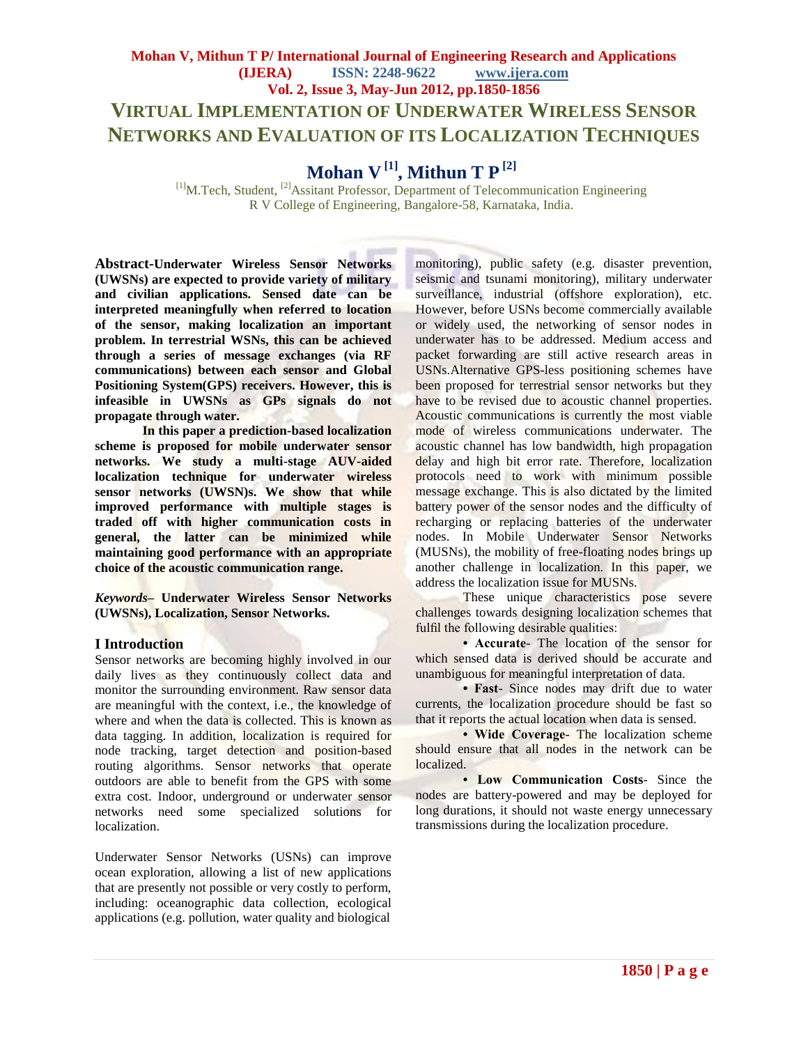## **Mohan V, Mithun T P/ International Journal of Engineering Research and Applications (IJERA) ISSN: 2248-9622 www.ijera.com Vol. 2, Issue 3, May-Jun 2012, pp.1850-1856 VIRTUAL IMPLEMENTATION OF UNDERWATER WIRELESS SENSOR NETWORKS AND EVALUATION OF ITS LOCALIZATION TECHNIQUES**

# **Mohan V**<sup>[1]</sup>**, Mithun T P**<sup>[2]</sup>

 $[1]$ M.Tech, Student,  $[2]$ Assitant Professor, Department of Telecommunication Engineering R V College of Engineering, Bangalore-58, Karnataka, India.

**Abstract-Underwater Wireless Sensor Networks (UWSNs) are expected to provide variety of military and civilian applications. Sensed date can be interpreted meaningfully when referred to location of the sensor, making localization an important problem. In terrestrial WSNs, this can be achieved through a series of message exchanges (via RF communications) between each sensor and Global Positioning System(GPS) receivers. However, this is infeasible in UWSNs as GPs signals do not propagate through water.**

**In this paper a prediction-based localization scheme is proposed for mobile underwater sensor networks. We study a multi-stage AUV-aided localization technique for underwater wireless sensor networks (UWSN)s. We show that while improved performance with multiple stages is traded off with higher communication costs in general, the latter can be minimized while maintaining good performance with an appropriate choice of the acoustic communication range.** 

*Keywords–* **Underwater Wireless Sensor Networks (UWSNs), Localization, Sensor Networks.**

#### **I Introduction**

Sensor networks are becoming highly involved in our daily lives as they continuously collect data and monitor the surrounding environment. Raw sensor data are meaningful with the context, i.e., the knowledge of where and when the data is collected. This is known as data tagging. In addition, localization is required for node tracking, target detection and position-based routing algorithms. Sensor networks that operate outdoors are able to benefit from the GPS with some extra cost. Indoor, underground or underwater sensor networks need some specialized solutions for localization.

Underwater Sensor Networks (USNs) can improve ocean exploration, allowing a list of new applications that are presently not possible or very costly to perform, including: oceanographic data collection, ecological applications (e.g. pollution, water quality and biological

monitoring), public safety (e.g. disaster prevention, seismic and tsunami monitoring), military underwater surveillance, industrial (offshore exploration), etc. However, before USNs become commercially available or widely used, the networking of sensor nodes in underwater has to be addressed. Medium access and packet forwarding are still active research areas in USNs.Alternative GPS-less positioning schemes have been proposed for terrestrial sensor networks but they have to be revised due to acoustic channel properties. Acoustic communications is currently the most viable mode of wireless communications underwater. The acoustic channel has low bandwidth, high propagation delay and high bit error rate. Therefore, localization protocols need to work with minimum possible message exchange. This is also dictated by the limited battery power of the sensor nodes and the difficulty of recharging or replacing batteries of the underwater nodes. In Mobile Underwater Sensor Networks (MUSNs), the mobility of free-floating nodes brings up another challenge in localization. In this paper, we address the localization issue for MUSNs.

These unique characteristics pose severe challenges towards designing localization schemes that fulfil the following desirable qualities:

**• Accurate**- The location of the sensor for which sensed data is derived should be accurate and unambiguous for meaningful interpretation of data.

**• Fast**- Since nodes may drift due to water currents, the localization procedure should be fast so that it reports the actual location when data is sensed.

**• Wide Coverage**- The localization scheme should ensure that all nodes in the network can be localized.

**• Low Communication Costs**- Since the nodes are battery-powered and may be deployed for long durations, it should not waste energy unnecessary transmissions during the localization procedure.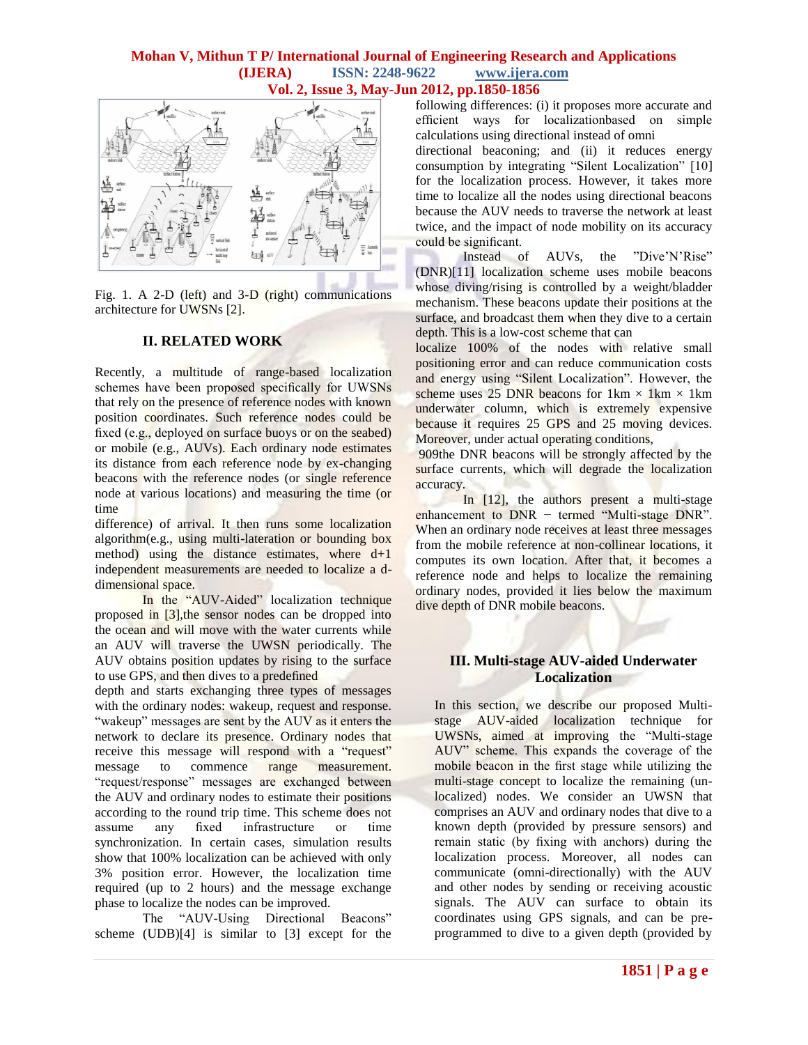

Fig. 1. A 2-D (left) and 3-D (right) communications architecture for UWSNs [2].

## **II. RELATED WORK**

Recently, a multitude of range-based localization schemes have been proposed specifically for UWSNs that rely on the presence of reference nodes with known position coordinates. Such reference nodes could be fixed (e.g., deployed on surface buoys or on the seabed) or mobile (e.g., AUVs). Each ordinary node estimates its distance from each reference node by ex-changing beacons with the reference nodes (or single reference node at various locations) and measuring the time (or time

difference) of arrival. It then runs some localization algorithm(e.g., using multi-lateration or bounding box method) using the distance estimates, where  $d+1$ independent measurements are needed to localize a ddimensional space.

In the "AUV-Aided" localization technique proposed in [3],the sensor nodes can be dropped into the ocean and will move with the water currents while an AUV will traverse the UWSN periodically. The AUV obtains position updates by rising to the surface to use GPS, and then dives to a predefined

depth and starts exchanging three types of messages with the ordinary nodes: wakeup, request and response. "wakeup" messages are sent by the AUV as it enters the network to declare its presence. Ordinary nodes that receive this message will respond with a "request" message to commence range measurement. "request/response" messages are exchanged between the AUV and ordinary nodes to estimate their positions according to the round trip time. This scheme does not assume any fixed infrastructure or time synchronization. In certain cases, simulation results show that 100% localization can be achieved with only 3% position error. However, the localization time required (up to 2 hours) and the message exchange phase to localize the nodes can be improved.

The "AUV-Using Directional Beacons" scheme (UDB)[4] is similar to [3] except for the following differences: (i) it proposes more accurate and efficient ways for localizationbased on simple calculations using directional instead of omni

directional beaconing; and (ii) it reduces energy consumption by integrating "Silent Localization" [10] for the localization process. However, it takes more time to localize all the nodes using directional beacons because the AUV needs to traverse the network at least twice, and the impact of node mobility on its accuracy could be significant.

Instead of AUVs, the "Dive'N'Rise" (DNR)[11] localization scheme uses mobile beacons whose diving/rising is controlled by a weight/bladder mechanism. These beacons update their positions at the surface, and broadcast them when they dive to a certain depth. This is a low-cost scheme that can

localize 100% of the nodes with relative small positioning error and can reduce communication costs and energy using "Silent Localization". However, the scheme uses 25 DNR beacons for  $1 \text{km} \times 1 \text{km} \times 1 \text{km}$ underwater column, which is extremely expensive because it requires 25 GPS and 25 moving devices. Moreover, under actual operating conditions.

909the DNR beacons will be strongly affected by the surface currents, which will degrade the localization accuracy.

In [12], the authors present a multi-stage enhancement to  $DNR -$  termed "Multi-stage  $DNR$ ". When an ordinary node receives at least three messages from the mobile reference at non-collinear locations, it computes its own location. After that, it becomes a reference node and helps to localize the remaining ordinary nodes, provided it lies below the maximum dive depth of DNR mobile beacons.

## **III. Multi-stage AUV-aided Underwater Localization**

In this section, we describe our proposed Multistage AUV-aided localization technique for UWSNs, aimed at improving the "Multi-stage" AUV" scheme. This expands the coverage of the mobile beacon in the first stage while utilizing the multi-stage concept to localize the remaining (unlocalized) nodes. We consider an UWSN that comprises an AUV and ordinary nodes that dive to a known depth (provided by pressure sensors) and remain static (by fixing with anchors) during the localization process. Moreover, all nodes can communicate (omni-directionally) with the AUV and other nodes by sending or receiving acoustic signals. The AUV can surface to obtain its coordinates using GPS signals, and can be preprogrammed to dive to a given depth (provided by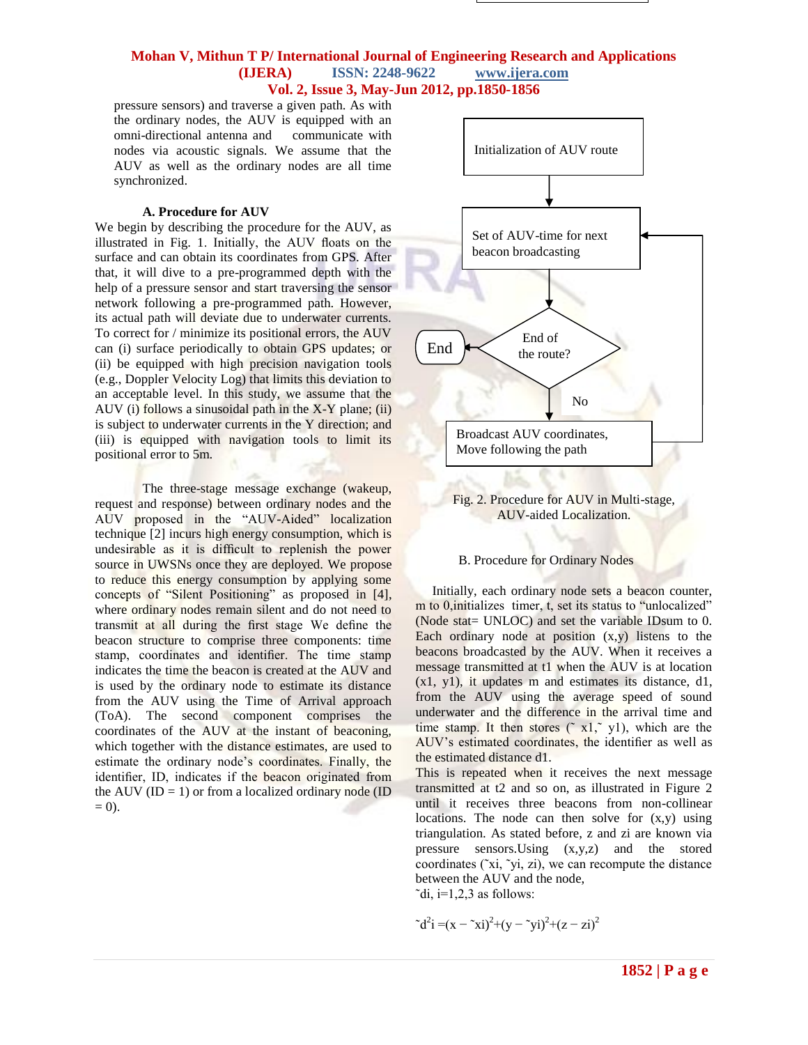pressure sensors) and traverse a given path. As with the ordinary nodes, the AUV is equipped with an omni-directional antenna and communicate with nodes via acoustic signals. We assume that the AUV as well as the ordinary nodes are all time synchronized.

#### **A. Procedure for AUV**

We begin by describing the procedure for the AUV, as illustrated in Fig. 1. Initially, the AUV floats on the surface and can obtain its coordinates from GPS. After that, it will dive to a pre-programmed depth with the help of a pressure sensor and start traversing the sensor network following a pre-programmed path. However, its actual path will deviate due to underwater currents. To correct for / minimize its positional errors, the AUV can (i) surface periodically to obtain GPS updates; or (ii) be equipped with high precision navigation tools (e.g., Doppler Velocity Log) that limits this deviation to an acceptable level. In this study, we assume that the AUV (i) follows a sinusoidal path in the X-Y plane; (ii) is subject to underwater currents in the Y direction; and (iii) is equipped with navigation tools to limit its positional error to 5m.

The three-stage message exchange (wakeup, request and response) between ordinary nodes and the AUV proposed in the "AUV-Aided" localization technique [2] incurs high energy consumption, which is undesirable as it is difficult to replenish the power source in UWSNs once they are deployed. We propose to reduce this energy consumption by applying some concepts of "Silent Positioning" as proposed in [4], where ordinary nodes remain silent and do not need to transmit at all during the first stage We define the beacon structure to comprise three components: time stamp, coordinates and identifier. The time stamp indicates the time the beacon is created at the AUV and is used by the ordinary node to estimate its distance from the AUV using the Time of Arrival approach (ToA). The second component comprises the coordinates of the AUV at the instant of beaconing, which together with the distance estimates, are used to estimate the ordinary node's coordinates. Finally, the identifier, ID, indicates if the beacon originated from the AUV (ID = 1) or from a localized ordinary node (ID  $= 0$ ).



#### Fig. 2. Procedure for AUV in Multi-stage, AUV-aided Localization.

#### B. Procedure for Ordinary Nodes

 Initially, each ordinary node sets a beacon counter, m to 0, initializes timer, t, set its status to "unlocalized" (Node stat= UNLOC) and set the variable IDsum to 0. Each ordinary node at position  $(x,y)$  listens to the beacons broadcasted by the AUV. When it receives a message transmitted at t1 when the AUV is at location (x1, y1), it updates m and estimates its distance, d1, from the AUV using the average speed of sound underwater and the difference in the arrival time and time stamp. It then stores  $(\tilde{x}, x]$ ,  $\tilde{x}$  y<sub>1</sub>), which are the AUV's estimated coordinates, the identifier as well as the estimated distance d1.

This is repeated when it receives the next message transmitted at t2 and so on, as illustrated in Figure 2 until it receives three beacons from non-collinear locations. The node can then solve for  $(x,y)$  using triangulation. As stated before, z and zi are known via pressure sensors.Using (x,y,z) and the stored coordinates (˜xi, ˜yi, zi), we can recompute the distance between the AUV and the node,

 $\tilde{d}$ di, i=1,2,3 as follows:

$$
^4d^2i = (x - ^4xi)^2 + (y - ^4yi)^2 + (z - zi)^2
$$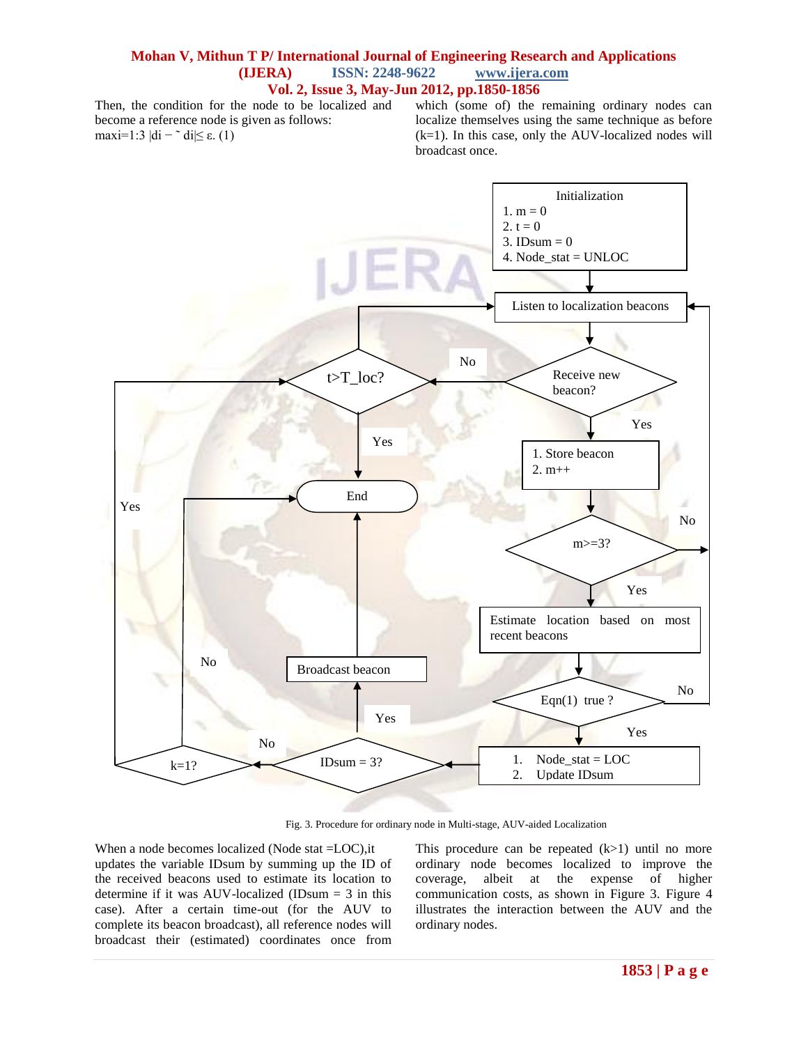Then, the condition for the node to be localized and become a reference node is given as follows: maxi=1:3  $|di - \tilde{ }$  di $\le \varepsilon$ . (1)

which (some of) the remaining ordinary nodes can localize themselves using the same technique as before  $(k=1)$ . In this case, only the AUV-localized nodes will broadcast once.



Fig. 3. Procedure for ordinary node in Multi-stage, AUV-aided Localization

When a node becomes localized (Node stat =LOC),it updates the variable IDsum by summing up the ID of the received beacons used to estimate its location to determine if it was AUV-localized (IDsum  $=$  3 in this case). After a certain time-out (for the AUV to complete its beacon broadcast), all reference nodes will broadcast their (estimated) coordinates once from This procedure can be repeated  $(k>1)$  until no more ordinary node becomes localized to improve the coverage, albeit at the expense of higher communication costs, as shown in Figure 3. Figure 4 illustrates the interaction between the AUV and the ordinary nodes.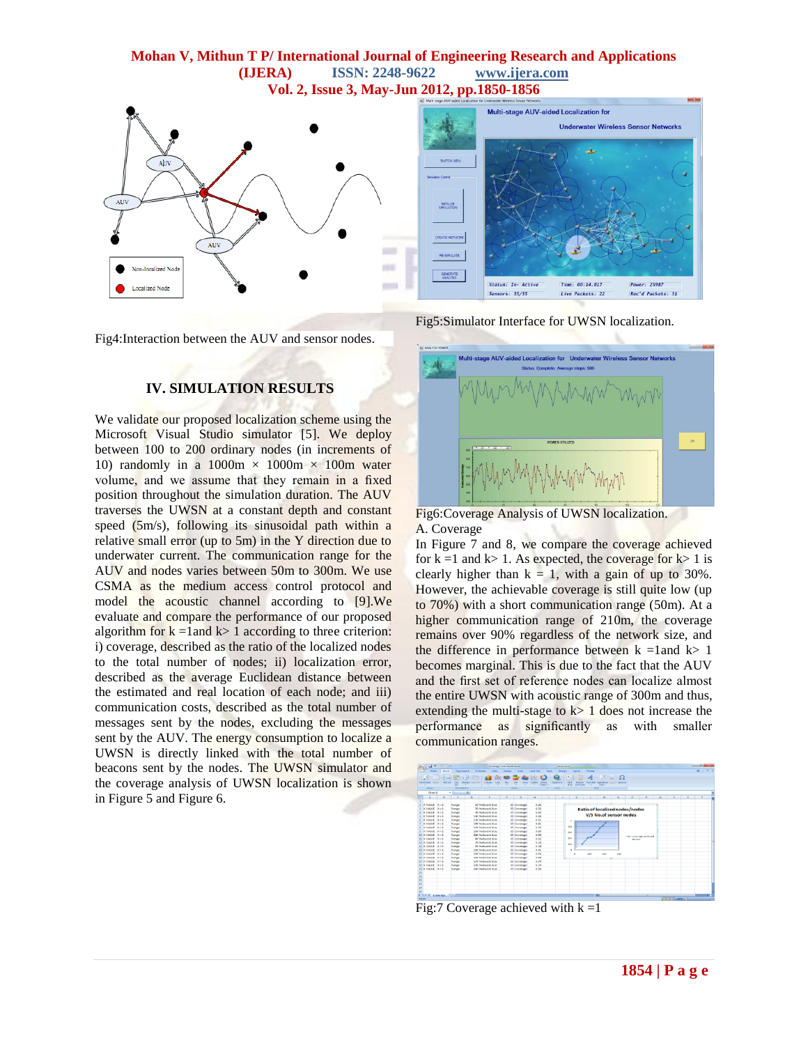

Fig4:Interaction between the AUV and sensor nodes.

#### **IV. SIMULATION RESULTS**

We validate our proposed localization scheme using the Microsoft Visual Studio simulator [5]. We deploy between 100 to 200 ordinary nodes (in increments of 10) randomly in a  $1000m \times 1000m \times 100m$  water volume, and we assume that they remain in a fixed position throughout the simulation duration. The AUV traverses the UWSN at a constant depth and constant speed (5m/s), following its sinusoidal path within a relative small error (up to 5m) in the Y direction due to underwater current. The communication range for the AUV and nodes varies between 50m to 300m. We use CSMA as the medium access control protocol and model the acoustic channel according to [9].We evaluate and compare the performance of our proposed algorithm for  $k = 1$  and  $k > 1$  according to three criterion: i) coverage, described as the ratio of the localized nodes to the total number of nodes; ii) localization error, described as the average Euclidean distance between the estimated and real location of each node; and iii) communication costs, described as the total number of messages sent by the nodes, excluding the messages sent by the AUV. The energy consumption to localize a UWSN is directly linked with the total number of beacons sent by the nodes. The UWSN simulator and the coverage analysis of UWSN localization is shown in Figure 5 and Figure 6.

Fig5:Simulator Interface for UWSN localization.



Fig6:Coverage Analysis of UWSN localization. A. Coverage

In Figure 7 and 8, we compare the coverage achieved for  $k = 1$  and  $k > 1$ . As expected, the coverage for  $k > 1$  is clearly higher than  $k = 1$ , with a gain of up to 30%. However, the achievable coverage is still quite low (up to 70%) with a short communication range (50m). At a higher communication range of 210m, the coverage remains over 90% regardless of the network size, and the difference in performance between  $k = 1$  and  $k > 1$ becomes marginal. This is due to the fact that the AUV and the first set of reference nodes can localize almost the entire UWSN with acoustic range of 300m and thus, extending the multi-stage to  $k$  1 does not increase the performance as significantly as with smaller communication ranges.

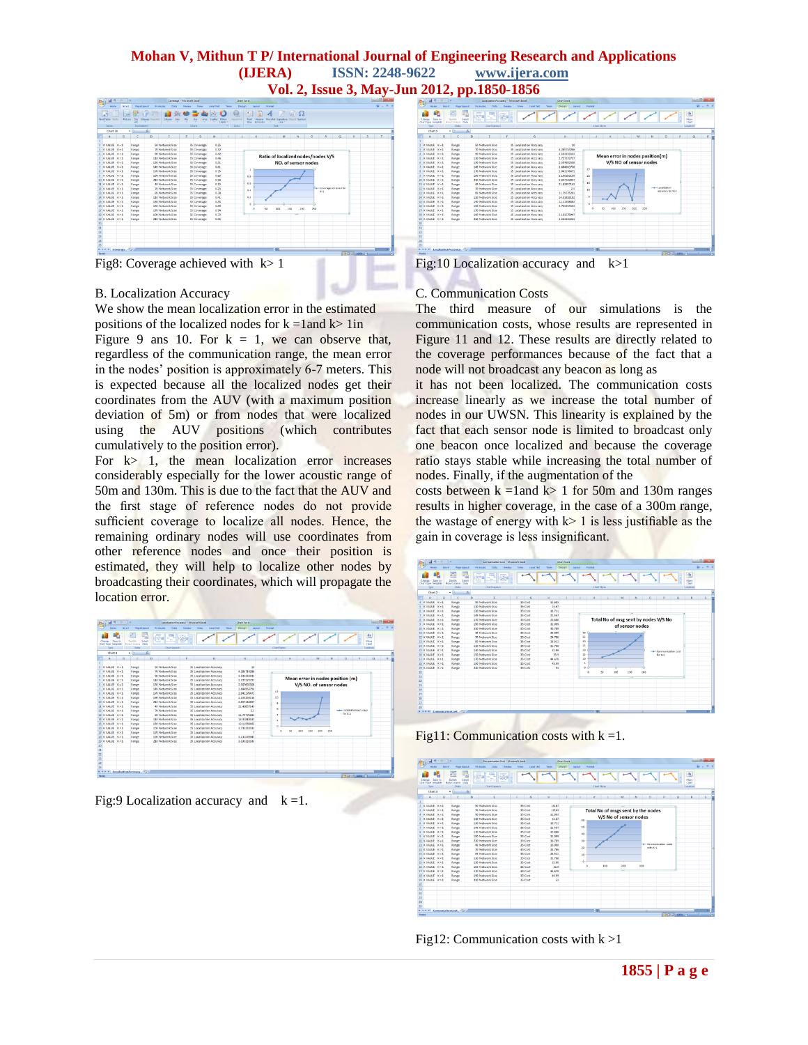|                          | $19 - (4)$     |                     |                    | Coverage - Microsoft Excel                |                  |                            |                  |                     | Chart Tools  |                                    |                 |                                 |                         |     |            |                                 |  |  |         |
|--------------------------|----------------|---------------------|--------------------|-------------------------------------------|------------------|----------------------------|------------------|---------------------|--------------|------------------------------------|-----------------|---------------------------------|-------------------------|-----|------------|---------------------------------|--|--|---------|
| Home                     | <b>Drivert</b> | <b>Page Layout</b>  |                    | Farnulat<br><b>Dafa</b>                   | <b>Durations</b> | <b>User</b>                | <b>Good Test</b> | Tana                | Design       | Layout                             | Format          |                                 |                         |     |            |                                 |  |  | $8 - 5$ |
|                          |                |                     |                    |                                           |                  |                            |                  |                     |              |                                    |                 |                                 | $\blacksquare$ $\Omega$ |     |            |                                 |  |  |         |
| district Table           | Pirture        | Cie                 | Shaees<br>Separate | Calvers                                   |                  | <b>Area</b>                | <b>Seattles</b>  | CRNer               | Huseting     | Test                               |                 | WordArt Signature Object Symbol |                         |     |            |                                 |  |  |         |
|                          |                | a.                  |                    |                                           |                  |                            |                  | Charts <sup>*</sup> |              | <b>Rev</b>                         | <b>A Foster</b> | <b>Line</b>                     |                         |     |            |                                 |  |  |         |
| Tables                   |                | <b>Husballisers</b> |                    |                                           |                  | <b>Charls</b>              |                  | G.                  | <b>Links</b> |                                    |                 | Text                            |                         |     |            |                                 |  |  |         |
| Chart 10                 |                | $\cdot$ (n.         | f.                 |                                           |                  |                            |                  |                     |              |                                    |                 |                                 |                         |     |            |                                 |  |  |         |
| A                        |                |                     | b                  |                                           |                  |                            |                  |                     |              |                                    |                 |                                 |                         | ۵   |            | $\Omega$                        |  |  |         |
|                          |                |                     |                    |                                           |                  |                            |                  |                     |              |                                    |                 |                                 |                         |     |            |                                 |  |  |         |
| KVALUE K-1               |                | Range               |                    | 50 Network Size                           |                  | 35 Coverage                | 0.25             |                     |              |                                    |                 |                                 |                         |     |            |                                 |  |  |         |
| KVALUE K=1               |                | Ranze<br>Range      |                    | 70 Network Size<br><b>90 Network Size</b> |                  | 35 Coverage<br>35 Coverage | 0.32<br>0.42     |                     |              |                                    |                 |                                 |                         |     |            |                                 |  |  |         |
| KVALUE K=1<br>KVALUE K=1 |                | Range               |                    | 110 Network Size                          |                  | 35 Coverage                | 0.44             |                     |              | Ratio of localized nodes/nodes V/S |                 |                                 |                         |     |            |                                 |  |  |         |
| KVALUE K=1               |                | Range               |                    | 130 Network Size                          |                  | 35 Coverage                | 0.51             |                     |              | NO. of sensor nodes                |                 |                                 |                         |     |            |                                 |  |  |         |
| KVALUE K=1               |                | Range               |                    | 149 Network Size                          |                  | 35 Coverage                | 0.61             |                     |              |                                    |                 |                                 |                         |     |            |                                 |  |  |         |
| KVALUE K=1               |                | Range               |                    | 170 Network Size                          |                  | 35 Coverage                | 0.75             |                     |              |                                    |                 |                                 |                         |     |            |                                 |  |  |         |
| KVALUE K=1               |                | Range               |                    | 190 Network Size                          |                  | 35 Coverage                | 0.83             |                     |              | 0.8                                |                 |                                 |                         |     |            |                                 |  |  |         |
| KVALUE K=1               |                | Range               |                    | 210 Network Size                          |                  | 35 Coverage                | 0.94             |                     |              |                                    |                 |                                 |                         |     |            |                                 |  |  |         |
| <b>EVALUE E&gt;1</b>     |                | Range               |                    | 49 Network Size                           |                  | 25 Coverage                | 0.12             |                     |              | 0.6                                |                 |                                 |                         |     |            |                                 |  |  |         |
| KVALUE K>1               |                | Flampe              |                    | 70 Network Size                           |                  | 35 Coverage                | 0.25             |                     |              | 0.4                                |                 |                                 |                         |     |            | <b>He-Coverage schieved for</b> |  |  |         |
| KVALUE K>1               |                | Range               |                    | 89 Network Size                           |                  | 35 Coverage                | 0.38             |                     |              |                                    |                 |                                 |                         |     | <b>KY1</b> |                                 |  |  |         |
| KVALUE K>1               |                | Range               |                    | 110 Network Size                          |                  | 35 Coverage                | 0.41             |                     |              | 0.2                                |                 |                                 |                         |     |            |                                 |  |  |         |
| <b>KVALUE K&gt;1</b>     |                | Range               |                    | 130 Network Size                          |                  | 25 Coverage                | 0.52             |                     |              | $\circ$                            |                 |                                 |                         |     |            |                                 |  |  |         |
| KVALUE K>1               |                | Flamino             |                    | 150 Network Size                          |                  | 35 Coverage                | 0.69             |                     |              | $\circ$                            | 10              | 100<br>150                      | 200                     | 250 |            |                                 |  |  |         |
| KVALUE K>1               |                | Range               |                    | 170 Network Size                          |                  | 35 Coverage                | 0.74             |                     |              |                                    |                 |                                 |                         |     |            |                                 |  |  |         |
| KVALUE K>1               |                | Range               |                    | 190 Network Size                          |                  | 35 Coverage                | 0.73             |                     |              |                                    |                 |                                 |                         |     |            |                                 |  |  |         |
| <b>KVALUE K&gt;1</b>     |                | Range               |                    | 210 Notwork Size                          |                  | 35 Coverage                | 0.95             |                     |              |                                    |                 |                                 |                         |     |            |                                 |  |  |         |
|                          |                |                     |                    |                                           |                  |                            |                  |                     |              |                                    |                 |                                 |                         |     |            |                                 |  |  |         |
|                          |                |                     |                    |                                           |                  |                            |                  |                     |              |                                    |                 |                                 |                         |     |            |                                 |  |  |         |
|                          |                |                     |                    |                                           |                  |                            |                  |                     |              |                                    |                 |                                 |                         |     |            |                                 |  |  |         |
|                          |                |                     |                    |                                           |                  |                            |                  |                     |              |                                    |                 |                                 |                         |     |            |                                 |  |  |         |
|                          |                |                     |                    |                                           |                  |                            |                  |                     |              |                                    |                 |                                 |                         |     |            |                                 |  |  |         |
|                          | + H Coverage   |                     |                    |                                           |                  |                            |                  |                     |              |                                    |                 | Ħ                               |                         |     |            |                                 |  |  |         |

Fig8: Coverage achieved with  $k>1$ 

#### B. Localization Accuracy

We show the mean localization error in the estimated positions of the localized nodes for  $k = 1$  and  $k > 1$  in

Figure 9 ans 10. For  $k = 1$ , we can observe that, regardless of the communication range, the mean error in the nodes' position is approximately 6-7 meters. This is expected because all the localized nodes get their coordinates from the AUV (with a maximum position deviation of 5m) or from nodes that were localized using the AUV positions (which contributes cumulatively to the position error).

For  $k$  1, the mean localization error increases considerably especially for the lower acoustic range of 50m and 130m. This is due to the fact that the AUV and the first stage of reference nodes do not provide sufficient coverage to localize all nodes. Hence, the remaining ordinary nodes will use coordinates from other reference nodes and once their position is estimated, they will help to localize other nodes by broadcasting their coordinates, which will propagate the location error.

|                                        | 19.001           |                                            |                        | LocalizationAccuracy - Microsoft Excel |                                 |                                  | Chart Tools       |  |              |                                                             |  |   |     |                          |                        | <b>Incident</b>                |           |  |  |  |
|----------------------------------------|------------------|--------------------------------------------|------------------------|----------------------------------------|---------------------------------|----------------------------------|-------------------|--|--------------|-------------------------------------------------------------|--|---|-----|--------------------------|------------------------|--------------------------------|-----------|--|--|--|
| Home                                   | <b>Droit (1)</b> | <b>Page Layout</b>                         |                        | Farnulat<br><b>Data</b>                | Review                          | <b>Load Test</b><br>View<br>Team | Detiton<br>Layout |  | Format       |                                                             |  |   |     |                          |                        |                                | $M = 7.3$ |  |  |  |
| Channel<br>Chart Type Template<br>Type | Save As          | 动<br><b>Section</b><br>Analy Tures<br>Date | 屋<br>Seburt<br>Data    | ÷.<br><b>Chart Leyruto</b>             |                                 |                                  |                   |  | Chart Styles |                                                             |  |   |     |                          |                        | 鱼<br>Meas<br>Chart<br>lacation |           |  |  |  |
| Chart 4                                |                  | $-64$                                      | f.                     |                                        |                                 |                                  |                   |  |              |                                                             |  |   |     |                          |                        |                                |           |  |  |  |
| A.                                     |                  |                                            | $\Omega$               |                                        |                                 |                                  |                   |  |              |                                                             |  | M |     |                          |                        | $\alpha$                       |           |  |  |  |
|                                        |                  |                                            |                        |                                        |                                 |                                  |                   |  |              |                                                             |  |   |     |                          |                        |                                |           |  |  |  |
| KVALUE K=1                             |                  | Ranze                                      | 50 Network Size        |                                        | <b>15 Localization Accuracy</b> |                                  | 10                |  |              |                                                             |  |   |     |                          |                        |                                |           |  |  |  |
| KVALUE K=1                             |                  | Range                                      | <b>20 Network Size</b> |                                        | <b>35 Localization Accuracy</b> |                                  | 4.285714286       |  |              |                                                             |  |   |     |                          |                        |                                |           |  |  |  |
| KVALUE K=1                             |                  | Range                                      | 50 Network Size        |                                        | <b>35 Localization Accuracy</b> |                                  | 1,11111111        |  |              |                                                             |  |   |     |                          |                        |                                |           |  |  |  |
| KVALIE K=1                             |                  | Range                                      |                        | 130 Network Size                       |                                 | 35 Localization Accuracy         | 3.777777777       |  |              | Mean error in nodes position (m)<br>V/S NO. of sensor nodes |  |   |     |                          |                        |                                |           |  |  |  |
| 6 KVALUE K=1                           |                  | Range                                      |                        | 130 Network Size                       |                                 | 35 Localization Accuracy         | 2.307092308       |  |              |                                                             |  |   |     |                          |                        |                                |           |  |  |  |
| KVALUE K=1                             |                  | Range                                      |                        | 149 Network Size                       |                                 | <b>35 Localization Accuracy</b>  | 2.694563758       |  |              | 12                                                          |  |   |     |                          |                        |                                |           |  |  |  |
| KVALUE K=1                             |                  | Flampe                                     |                        | 170 Network Size                       |                                 | <b>15 Localization Accuracy</b>  | 2.941176471       |  |              |                                                             |  |   |     |                          |                        |                                |           |  |  |  |
| <b>K VALUE</b>                         | <b>Kall</b>      | Range                                      |                        | 150 Network Size                       | 35 Localization Accuracy        |                                  | 2.105263158       |  | 10           |                                                             |  |   |     |                          |                        |                                |           |  |  |  |
| 10 K VALUE                             | $K = 1$          | Range                                      |                        | <b>210 Network Size</b>                |                                 | 35 Localization Accuracy         | 2.857142857       |  | ٠            |                                                             |  |   |     |                          |                        |                                |           |  |  |  |
| <b>11 K VALUE</b>                      | K > 1            | Range                                      |                        | 49 Notwork Size                        |                                 | 35 Localization Accuracy         | 21.42857143       |  | ×            |                                                             |  |   |     |                          |                        |                                |           |  |  |  |
| 12 K VALUE                             | K > 1            | Range                                      |                        | <b>20 Network Size</b>                 | <b>15 Localization Accuracy</b> |                                  | 2.5               |  |              |                                                             |  |   |     | -+-Localization accuracy |                        |                                |           |  |  |  |
| 13 K VALUE                             | K > 1            | Range                                      |                        | <b><i>BR Natural Site</i></b>          |                                 | 35 Localization Accuracy         | 11.79775281       |  | ٠            |                                                             |  |   |     | for Kr1                  |                        |                                |           |  |  |  |
| <b>14 K VALUE</b>                      | K > 1            | Range                                      |                        | 110 Natural Size                       |                                 | 35 Localization Accuracy         | 14.31818182       |  | ź            |                                                             |  |   |     |                          |                        |                                |           |  |  |  |
| <b>15 K VALUE</b>                      | K > 1            | Range                                      |                        | 130 Network Size                       |                                 | 35 Localization Accuracy         | 12.11538462       |  | ۸            |                                                             |  |   |     |                          |                        |                                |           |  |  |  |
| 16 K VALUE                             | K > 1            | Range                                      |                        | 150 Network Size                       |                                 | <b>35 Localization Accuracy</b>  | 3.73333333        |  |              |                                                             |  |   |     |                          |                        |                                |           |  |  |  |
| 17 K VALUE                             | K > 1            | Ranze                                      |                        | 170 Network Size                       |                                 | 35 Localization Accuracy         |                   |  |              |                                                             |  |   | 250 |                          |                        |                                |           |  |  |  |
| 18 K VALUE                             | K > 1            | Range                                      |                        | 190 Network Size                       |                                 | <b>35 Localization Accuracy</b>  | 3.131578547       |  |              |                                                             |  |   |     |                          |                        |                                |           |  |  |  |
| 19 KVALUE K>1                          |                  | Range                                      |                        | 230 Network Size                       |                                 | <b>35 Localization Accuracy</b>  | 1,11111111        |  |              |                                                             |  |   |     |                          |                        |                                |           |  |  |  |
|                                        |                  |                                            |                        |                                        |                                 |                                  |                   |  |              |                                                             |  |   |     |                          |                        |                                |           |  |  |  |
|                                        |                  |                                            |                        |                                        |                                 |                                  |                   |  |              |                                                             |  |   |     |                          |                        |                                |           |  |  |  |
|                                        |                  |                                            |                        |                                        |                                 |                                  |                   |  |              |                                                             |  |   |     |                          |                        |                                |           |  |  |  |
|                                        |                  |                                            |                        |                                        |                                 |                                  |                   |  |              |                                                             |  |   |     |                          |                        |                                |           |  |  |  |
|                                        |                  |                                            |                        |                                        |                                 |                                  |                   |  |              |                                                             |  |   |     |                          |                        |                                |           |  |  |  |
|                                        |                  |                                            |                        |                                        |                                 |                                  |                   |  |              |                                                             |  |   |     |                          |                        |                                |           |  |  |  |
| $+ + +$                                |                  | * LocalizationAccuracy / 23 /              |                        |                                        |                                 |                                  |                   |  | 141          |                                                             |  |   |     |                          |                        |                                |           |  |  |  |
| Ready                                  |                  |                                            |                        |                                        |                                 |                                  |                   |  |              |                                                             |  |   |     |                          | <b>FIRST STORE (9)</b> | a pa                           |           |  |  |  |

Fig:9 Localization accuracy and  $k = 1$ .



Fig:10 Localization accuracy and  $k>1$ 

#### C. Communication Costs

The third measure of our simulations is the communication costs, whose results are represented in Figure 11 and 12. These results are directly related to the coverage performances because of the fact that a node will not broadcast any beacon as long as

it has not been localized. The communication costs increase linearly as we increase the total number of nodes in our UWSN. This linearity is explained by the fact that each sensor node is limited to broadcast only one beacon once localized and because the coverage ratio stays stable while increasing the total number of nodes. Finally, if the augmentation of the

costs between  $k = 1$  and  $k > 1$  for 50m and 130m ranges results in higher coverage, in the case of a 300m range, the wastage of energy with  $k$  1 is less justifiable as the gain in coverage is less insignificant.



Fig11: Communication costs with  $k = 1$ .



Fig12: Communication costs with  $k > 1$